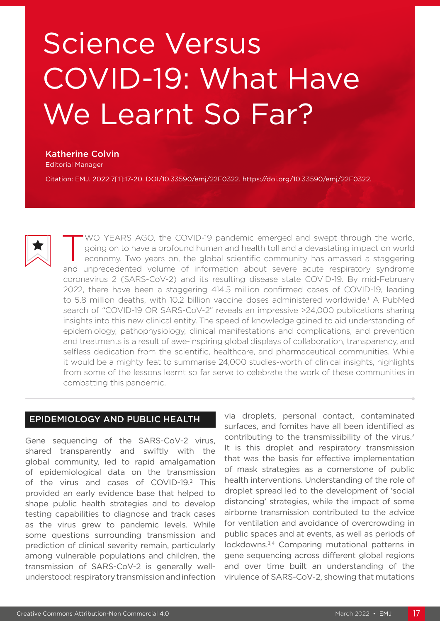# Science Versus COVID-19: What Have We Learnt So Far?

### Katherine Colvin

Editorial Manager

Citation: EMJ. 2022;7[1]:17-20. DOI/10.33590/emj/22F0322. https://doi.org/10.33590/emj/22F0322.



WO YEARS AGO, the COVID-19 pandemic emerged and swept through the world, going on to have a profound human and health toll and a devastating impact on world economy. Two years on, the global scientific community has amassed a staggering and unprecedented volume of information about severe acute respiratory syndrome coronavirus 2 (SARS-CoV-2) and its resulting disease state COVID-19. By mid-February 2022, there have been a staggering 414.5 million confirmed cases of COVID-19, leading to 5.8 million deaths, with 10.2 billion vaccine doses administered worldwide.<sup>1</sup> A PubMed search of "COVID-19 OR SARS-CoV-2" reveals an impressive >24,000 publications sharing insights into this new clinical entity. The speed of knowledge gained to aid understanding of epidemiology, pathophysiology, clinical manifestations and complications, and prevention and treatments is a result of awe-inspiring global displays of collaboration, transparency, and selfless dedication from the scientific, healthcare, and pharmaceutical communities. While it would be a mighty feat to summarise 24,000 studies-worth of clinical insights, highlights from some of the lessons learnt so far serve to celebrate the work of these communities in combatting this pandemic.

# EPIDEMIOLOGY AND PUBLIC HEALTH

Gene sequencing of the SARS-CoV-2 virus, shared transparently and swiftly with the global community, led to rapid amalgamation of epidemiological data on the transmission of the virus and cases of COVID-19.<sup>2</sup> This provided an early evidence base that helped to shape public health strategies and to develop testing capabilities to diagnose and track cases as the virus grew to pandemic levels. While some questions surrounding transmission and prediction of clinical severity remain, particularly among vulnerable populations and children, the transmission of SARS-CoV-2 is generally wellunderstood: respiratory transmission and infection

via droplets, personal contact, contaminated surfaces, and fomites have all been identified as contributing to the transmissibility of the virus.<sup>3</sup> It is this droplet and respiratory transmission that was the basis for effective implementation of mask strategies as a cornerstone of public health interventions. Understanding of the role of droplet spread led to the development of 'social distancing' strategies, while the impact of some airborne transmission contributed to the advice for ventilation and avoidance of overcrowding in public spaces and at events, as well as periods of lockdowns.3,4 Comparing mutational patterns in gene sequencing across different global regions and over time built an understanding of the virulence of SARS-CoV-2, showing that mutations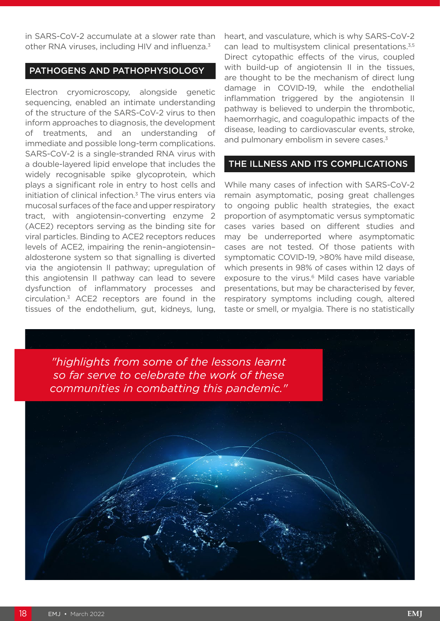in SARS-CoV-2 accumulate at a slower rate than other RNA viruses, including HIV and influenza.<sup>3</sup>

# PATHOGENS AND PATHOPHYSIOLOGY

Electron cryomicroscopy, alongside genetic sequencing, enabled an intimate understanding of the structure of the SARS-CoV-2 virus to then inform approaches to diagnosis, the development of treatments, and an understanding of immediate and possible long-term complications. SARS-CoV-2 is a single-stranded RNA virus with a double-layered lipid envelope that includes the widely recognisable spike glycoprotein, which plays a significant role in entry to host cells and initiation of clinical infection. $3$  The virus enters via mucosal surfaces of the face and upper respiratory tract, with angiotensin-converting enzyme 2 (ACE2) receptors serving as the binding site for viral particles. Binding to ACE2 receptors reduces levels of ACE2, impairing the renin–angiotensin– aldosterone system so that signalling is diverted via the angiotensin II pathway; upregulation of this angiotensin II pathway can lead to severe dysfunction of inflammatory processes and circulation.3 ACE2 receptors are found in the tissues of the endothelium, gut, kidneys, lung, heart, and vasculature, which is why SARS-CoV-2 can lead to multisystem clinical presentations.<sup>3,5</sup> Direct cytopathic effects of the virus, coupled with build-up of angiotensin II in the tissues, are thought to be the mechanism of direct lung damage in COVID-19, while the endothelial inflammation triggered by the angiotensin II pathway is believed to underpin the thrombotic, haemorrhagic, and coagulopathic impacts of the disease, leading to cardiovascular events, stroke, and pulmonary embolism in severe cases.<sup>3</sup>

#### THE ILLNESS AND ITS COMPLICATIONS

While many cases of infection with SARS-CoV-2 remain asymptomatic, posing great challenges to ongoing public health strategies, the exact proportion of asymptomatic versus symptomatic cases varies based on different studies and may be underreported where asymptomatic cases are not tested. Of those patients with symptomatic COVID-19, >80% have mild disease, which presents in 98% of cases within 12 days of exposure to the virus.<sup>6</sup> Mild cases have variable presentations, but may be characterised by fever, respiratory symptoms including cough, altered taste or smell, or myalgia. There is no statistically

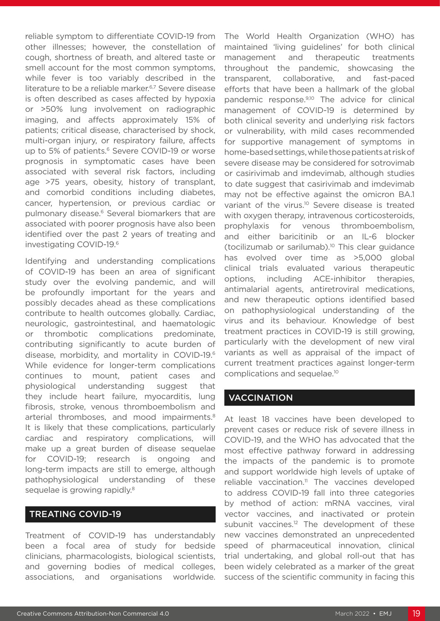reliable symptom to differentiate COVID-19 from other illnesses; however, the constellation of cough, shortness of breath, and altered taste or smell account for the most common symptoms, while fever is too variably described in the literature to be a reliable marker.<sup>6,7</sup> Severe disease is often described as cases affected by hypoxia or >50% lung involvement on radiographic imaging, and affects approximately 15% of patients; critical disease, characterised by shock, multi-organ injury, or respiratory failure, affects up to 5% of patients.<sup>6</sup> Severe COVID-19 or worse prognosis in symptomatic cases have been associated with several risk factors, including age >75 years, obesity, history of transplant, and comorbid conditions including diabetes, cancer, hypertension, or previous cardiac or pulmonary disease.<sup>6</sup> Several biomarkers that are associated with poorer prognosis have also been identified over the past 2 years of treating and investigating COVID-19.6

Identifying and understanding complications of COVID-19 has been an area of significant study over the evolving pandemic, and will be profoundly important for the years and possibly decades ahead as these complications contribute to health outcomes globally. Cardiac, neurologic, gastrointestinal, and haematologic or thrombotic complications predominate, contributing significantly to acute burden of disease, morbidity, and mortality in COVID-19.6 While evidence for longer-term complications continues to mount, patient cases and physiological understanding suggest that they include heart failure, myocarditis, lung fibrosis, stroke, venous thromboembolism and arterial thromboses, and mood impairments.<sup>8</sup> It is likely that these complications, particularly cardiac and respiratory complications, will make up a great burden of disease sequelae for COVID-19; research is ongoing and long-term impacts are still to emerge, although pathophysiological understanding of these sequelae is growing rapidly.<sup>8</sup>

# TREATING COVID-19

Treatment of COVID-19 has understandably been a focal area of study for bedside clinicians, pharmacologists, biological scientists, and governing bodies of medical colleges, associations, and organisations worldwide.

The World Health Organization (WHO) has maintained 'living guidelines' for both clinical management and therapeutic treatments throughout the pandemic, showcasing the transparent, collaborative, and fast-paced efforts that have been a hallmark of the global pandemic response.<sup>9,10</sup> The advice for clinical management of COVID-19 is determined by both clinical severity and underlying risk factors or vulnerability, with mild cases recommended for supportive management of symptoms in home-based settings, while those patients at risk of severe disease may be considered for sotrovimab or casirivimab and imdevimab, although studies to date suggest that casirivimab and imdevimab may not be effective against the omicron BA.1 variant of the virus.<sup>10</sup> Severe disease is treated with oxygen therapy, intravenous corticosteroids, prophylaxis for venous thromboembolism, and either baricitinib or an IL-6 blocker (tocilizumab or sarilumab).10 This clear guidance has evolved over time as >5,000 global clinical trials evaluated various therapeutic options, including ACE-inhibitor therapies, antimalarial agents, antiretroviral medications, and new therapeutic options identified based on pathophysiological understanding of the virus and its behaviour. Knowledge of best treatment practices in COVID-19 is still growing, particularly with the development of new viral variants as well as appraisal of the impact of current treatment practices against longer-term complications and sequelae.10

# **VACCINATION**

At least 18 vaccines have been developed to prevent cases or reduce risk of severe illness in COVID-19, and the WHO has advocated that the most effective pathway forward in addressing the impacts of the pandemic is to promote and support worldwide high levels of uptake of reliable vaccination.11 The vaccines developed to address COVID-19 fall into three categories by method of action: mRNA vaccines, viral vector vaccines, and inactivated or protein subunit vaccines.<sup>12</sup> The development of these new vaccines demonstrated an unprecedented speed of pharmaceutical innovation, clinical trial undertaking, and global roll-out that has been widely celebrated as a marker of the great success of the scientific community in facing this